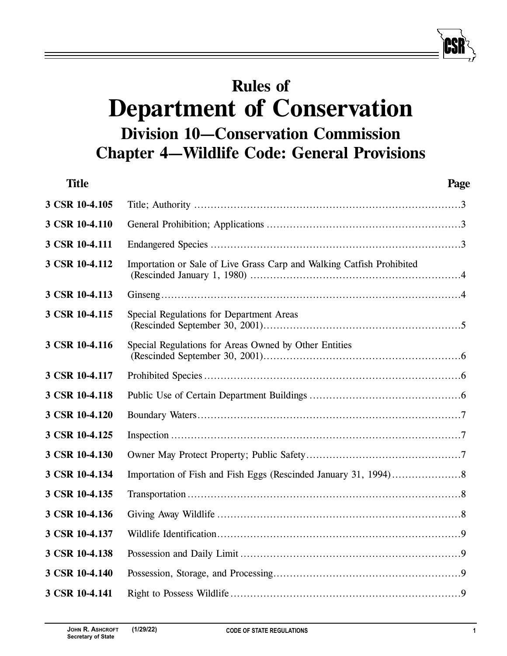# **Rules of Department of Conservation Division 10—Conservation Commission Chapter 4—Wildlife Code: General Provisions**

| <b>Title</b>   | Page                                                                  |
|----------------|-----------------------------------------------------------------------|
| 3 CSR 10-4.105 |                                                                       |
| 3 CSR 10-4.110 |                                                                       |
| 3 CSR 10-4.111 |                                                                       |
| 3 CSR 10-4.112 | Importation or Sale of Live Grass Carp and Walking Catfish Prohibited |
| 3 CSR 10-4.113 |                                                                       |
| 3 CSR 10-4.115 | Special Regulations for Department Areas                              |
| 3 CSR 10-4.116 | Special Regulations for Areas Owned by Other Entities                 |
| 3 CSR 10-4.117 |                                                                       |
| 3 CSR 10-4.118 |                                                                       |
| 3 CSR 10-4.120 |                                                                       |
| 3 CSR 10-4.125 |                                                                       |
| 3 CSR 10-4.130 |                                                                       |
| 3 CSR 10-4.134 |                                                                       |
| 3 CSR 10-4.135 |                                                                       |
| 3 CSR 10-4.136 |                                                                       |
| 3 CSR 10-4.137 |                                                                       |
| 3 CSR 10-4.138 |                                                                       |
| 3 CSR 10-4.140 |                                                                       |
| 3 CSR 10-4.141 |                                                                       |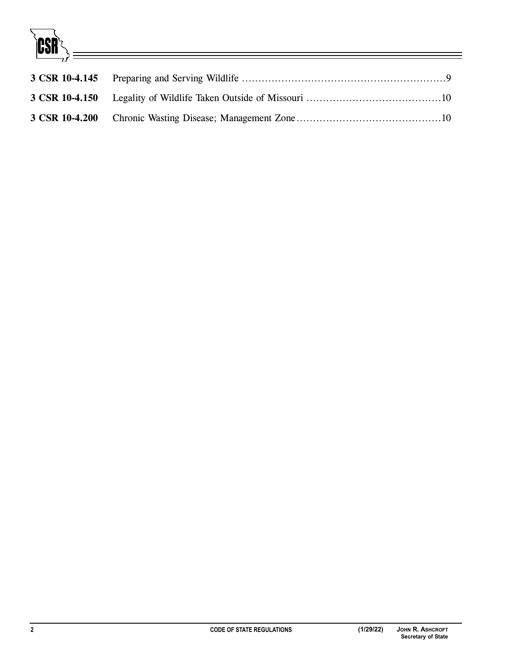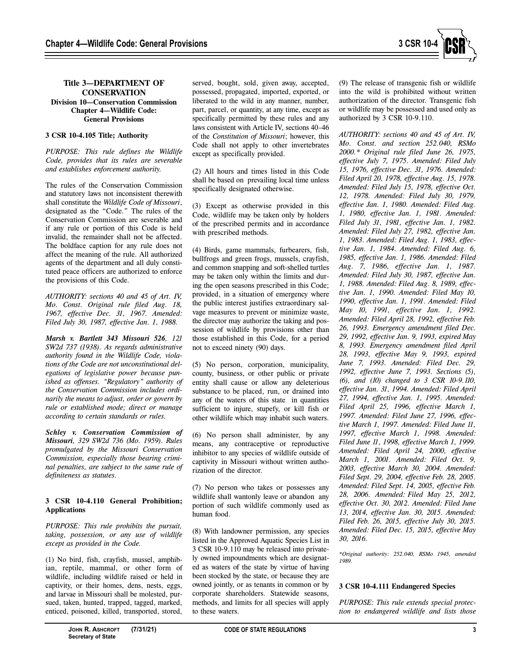

# **Title 3—DEPARTMENT OF CONSERVATION Division 10—Conservation Commission Chapter 4—Wildlife Code: General Provisions**

# **3 CSR 10-4.105 Title; Authority**

*PURPOSE: This rule defines the Wildlife Code, provides that its rules are severable and establishes enforcement authority.* 

The rules of the Conservation Commission and statutory laws not inconsistent therewith shall constitute the *Wildlife Code of Missouri*, designated as the "Code." The rules of the Conservation Commission are severable and if any rule or portion of this Code is held invalid, the remainder shall not be affected. The boldface caption for any rule does not affect the meaning of the rule. All authorized agents of the department and all duly constituted peace officers are authorized to enforce the provisions of this Code.

*AUTHORITY: sections 40 and 45 of Art. IV, Mo. Const. Original rule filed Aug. 18, 1967, effective Dec. 31, 1967. Amended: Filed July 30, 1987, effective Jan. 1, 1988.* 

*Marsh v. Bartlett 343 Missouri 526, 121 SW2d 737 (1938). As regards administrative authority found in the Wildlife Code, violations of the Code are not unconstitutional delegations of legislative power because punished as offenses. "Regulatory" authority of the Conservation Commission includes ordinarily the means to adjust, order or govern by rule or established mode; direct or manage according to certain standards or rules.* 

*Schley v. Conservation Commission of Missouri, 329 SW2d 736 (Mo. 1959). Rules promulgated by the Missouri Conservation Commission, especially those bearing criminal penalties, are subject to the same rule of definiteness as statutes.* 

## **3 CSR 10-4.110 General Prohibition; Applications**

*PURPOSE: This rule prohibits the pursuit, taking, possession, or any use of wildlife except as provided in the Code.* 

(1) No bird, fish, crayfish, mussel, amphibian, reptile, mammal, or other form of wildlife, including wildlife raised or held in captivity, or their homes, dens, nests, eggs, and larvae in Missouri shall be molested, pursued, taken, hunted, trapped, tagged, marked, enticed, poisoned, killed, transported, stored,

served, bought, sold, given away, accepted, possessed, propagated, imported, exported, or liberated to the wild in any manner, number, part, parcel, or quantity, at any time, except as specifically permitted by these rules and any laws consistent with Article IV, sections 40–46 of the *Constitution of Missouri*; however, this Code shall not apply to other invertebrates except as specifically provided.

(2) All hours and times listed in this Code shall be based on prevailing local time unless specifically designated otherwise.

(3) Except as otherwise provided in this Code, wildlife may be taken only by holders of the prescribed permits and in accordance with prescribed methods.

(4) Birds, game mammals, furbearers, fish, bullfrogs and green frogs, mussels, crayfish, and common snapping and soft-shelled turtles may be taken only within the limits and during the open seasons prescribed in this Code; provided, in a situation of emergency where the public interest justifies extraordinary salvage measures to prevent or minimize waste, the director may authorize the taking and possession of wildlife by provisions other than those established in this Code, for a period not to exceed ninety (90) days.

(5) No person, corporation, municipality, county, business, or other public or private entity shall cause or allow any deleterious substance to be placed, run, or drained into any of the waters of this state in quantities sufficient to injure, stupefy, or kill fish or other wildlife which may inhabit such waters.

(6) No person shall administer, by any means, any contraceptive or reproductive inhibitor to any species of wildlife outside of captivity in Missouri without written authorization of the director.

(7) No person who takes or possesses any wildlife shall wantonly leave or abandon any portion of such wildlife commonly used as human food.

(8) With landowner permission, any species listed in the Approved Aquatic Species List in 3 CSR 10-9.110 may be released into privately owned impoundments which are designated as waters of the state by virtue of having been stocked by the state, or because they are owned jointly, or as tenants in common or by corporate shareholders. Statewide seasons, methods, and limits for all species will apply to these waters.

(9) The release of transgenic fish or wildlife into the wild is prohibited without written authorization of the director. Transgenic fish or wildlife may be possessed and used only as authorized by 3 CSR 10-9.110.

*AUTHORITY: sections 40 and 45 of Art. IV, Mo. Const. and section 252.040, RSMo 2000.\* Original rule filed June 26, 1975, effective July 7, 1975. Amended: Filed July 15, 1976, effective Dec. 31, 1976. Amended: Filed April 20, 1978, effective Aug. 15, 1978. Amended: Filed July 15, 1978, effective Oct. 12, 1978. Amended: Filed July 30, 1979, effective Jan. 1, 1980. Amended: Filed Aug. 1, 1980, effective Jan. 1, 1981. Amended: Filed July 31, 1981, effective Jan. 1, 1982. Amended: Filed July 27, 1982, effective Jan. 1, 1983. Amended: Filed Aug. 1, 1983, effective Jan. 1, 1984. Amended: Filed Aug. 6, 1985, effective Jan. 1, 1986. Amended: Filed Aug. 7, 1986, effective Jan. 1, 1987. Amended: Filed July 30, 1987, effective Jan. 1, 1988. Amended: Filed Aug. 8, 1989, effective Jan. 1, 1990. Amended: Filed May 10, 1990, effective Jan. 1, 1991. Amended: Filed May 10, 1991, effective Jan. 1, 1992. Amended: Filed April 28, 1992, effective Feb. 26, 1993. Emergency amendment filed Dec. 29, 1992, effective Jan. 9, 1993, expired May 8, 1993. Emergency amendment filed April 28, 1993, effective May 9, 1993, expired June 7, 1993. Amended: Filed Dec. 29, 1992, effective June 7, 1993. Sections (5), (6), and (10) changed to 3 CSR 10-9.110, effective Jan. 31, 1994. Amended: Filed April 27, 1994, effective Jan. 1, 1995. Amended: Filed April 25, 1996, effective March 1, 1997. Amended: Filed June 27, 1996, effective March 1, 1997. Amended: Filed June 11, 1997, effective March 1, 1998. Amended: Filed June 11, 1998, effective March 1, 1999. Amended: Filed April 24, 2000, effective March 1, 2001. Amended: Filed Oct. 9, 2003, effective March 30, 2004. Amended: Filed Sept. 29, 2004, effective Feb. 28, 2005. Amended: Filed Sept. 14, 2005, effective Feb. 28, 2006. Amended: Filed May 25, 2012, effective Oct. 30, 2012. Amended: Filed June 13, 2014, effective Jan. 30, 2015. Amended: Filed Feb. 26, 2015, effective July 30, 2015. Amended: Filed Dec. 15, 2015, effective May 30, 2016.* 

*\*Original authority: 252.040, RSMo 1945, amended 1989.* 

## **3 CSR 10-4.111 Endangered Species**

*PURPOSE: This rule extends special protection to endangered wildlife and lists those*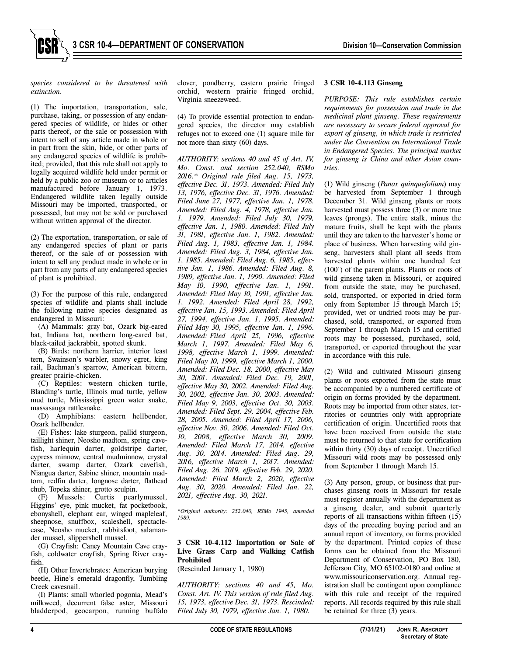

*species considered to be threatened with extinction.* 

(1) The importation, transportation, sale, purchase, taking, or possession of any endangered species of wildlife, or hides or other parts thereof, or the sale or possession with intent to sell of any article made in whole or in part from the skin, hide, or other parts of any endangered species of wildlife is prohibited; provided, that this rule shall not apply to legally acquired wildlife held under permit or held by a public zoo or museum or to articles manufactured before January 1, 1973. Endangered wildlife taken legally outside Missouri may be imported, transported, or possessed, but may not be sold or purchased without written approval of the director.

(2) The exportation, transportation, or sale of any endangered species of plant or parts thereof, or the sale of or possession with intent to sell any product made in whole or in part from any parts of any endangered species of plant is prohibited.

(3) For the purpose of this rule, endangered species of wildlife and plants shall include the following native species designated as endangered in Missouri:

(A) Mammals: gray bat, Ozark big-eared bat, Indiana bat, northern long-eared bat, black-tailed jackrabbit, spotted skunk.

(B) Birds: northern harrier, interior least tern, Swainson's warbler, snowy egret, king rail, Bachman's sparrow, American bittern, greater prairie-chicken.

(C) Reptiles: western chicken turtle, Blanding's turtle, Illinois mud turtle, yellow mud turtle, Mississippi green water snake, massasauga rattlesnake.

(D) Amphibians: eastern hellbender, Ozark hellbender.

(E) Fishes: lake sturgeon, pallid sturgeon, taillight shiner, Neosho madtom, spring cavefish, harlequin darter, goldstripe darter, cypress minnow, central mudminnow, crystal darter, swamp darter, Ozark cavefish, Niangua darter, Sabine shiner, mountain madtom, redfin darter, longnose darter, flathead chub, Topeka shiner, grotto sculpin.

(F) Mussels: Curtis pearlymussel, Higgins' eye, pink mucket, fat pocketbook, ebonyshell, elephant ear, winged mapleleaf, sheepnose, snuffbox, scaleshell, spectaclecase, Neosho mucket, rabbitsfoot, salamander mussel, slippershell mussel.

(G) Crayfish: Caney Mountain Cave crayfish, coldwater crayfish, Spring River crayfish.

(H) Other Invertebrates: American burying beetle, Hine's emerald dragonfly, Tumbling Creek cavesnail.

(I) Plants: small whorled pogonia, Mead's milkweed, decurrent false aster, Missouri bladderpod, geocarpon, running buffalo

clover, pondberry, eastern prairie fringed orchid, western prairie fringed orchid, Virginia sneezeweed.

(4) To provide essential protection to endangered species, the director may establish refuges not to exceed one (1) square mile for not more than sixty (60) days.

*AUTHORITY: sections 40 and 45 of Art. IV, Mo. Const. and section 252.040, RSMo 2016.\* Original rule filed Aug. 15, 1973, effective Dec. 31, 1973. Amended: Filed July 13, 1976, effective Dec. 31, 1976. Amended: Filed June 27, 1977, effective Jan. 1, 1978. Amended: Filed Aug. 4, 1978, effective Jan. 1, 1979. Amended: Filed July 30, 1979, effective Jan. 1, 1980. Amended: Filed July 31, 1981, effective Jan. 1, 1982. Amended: Filed Aug. 1, 1983, effective Jan. 1, 1984. Amended: Filed Aug. 3, 1984, effective Jan. 1, 1985. Amended: Filed Aug. 6, 1985, effective Jan. 1, 1986. Amended: Filed Aug. 8, 1989, effective Jan. 1, 1990. Amended: Filed May 10, 1990, effective Jan. 1, 1991. Amended: Filed May 10, 1991, effective Jan. 1, 1992. Amended: Filed April 28, 1992, effective Jan. 15, 1993. Amended: Filed April 27, 1994, effective Jan. 1, 1995. Amended: Filed May 30, 1995, effective Jan. 1, 1996. Amended: Filed April 25, 1996, effective March 1, 1997. Amended: Filed May 6, 1998, effective March 1, 1999. Amended: Filed May 10, 1999, effective March 1, 2000. Amended: Filed Dec. 18, 2000, effective May 30, 2001. Amended: Filed Dec. 19, 2001, effective May 30, 2002. Amended: Filed Aug. 30, 2002, effective Jan. 30, 2003. Amended: Filed May 9, 2003, effective Oct. 30, 2003. Amended: Filed Sept. 29, 2004, effective Feb. 28, 2005. Amended: Filed April 17, 2006, effective Nov. 30, 2006. Amended: Filed Oct. 10, 2008, effective March 30, 2009. Amended: Filed March 17, 2014, effective Aug. 30, 2014. Amended: Filed Aug. 29, 2016, effective March 1, 2017. Amended: Filed Aug. 26, 2019, effective Feb. 29, 2020. Amended: Filed March 2, 2020, effective Aug. 30, 2020. Amended: Filed Jan. 22, 2021, effective Aug. 30, 2021.* 

*\*Original authority: 252.040, RSMo 1945, amended 1989.* 

#### **3 CSR 10-4.112 Importation or Sale of Live Grass Carp and Walking Catfish Prohibited**

(Rescinded January 1, 1980)

*AUTHORITY: sections 40 and 45, Mo. Const. Art. IV. This version of rule filed Aug. 15, 1973, effective Dec. 31, 1973. Rescinded: Filed July 30, 1979, effective Jan. 1, 1980.*

#### **3 CSR 10-4.113 Ginseng**

*PURPOSE: This rule establishes certain requirements for possession and trade in the medicinal plant ginseng. These requirements are necessary to secure federal approval for export of ginseng, in which trade is restricted under the Convention on International Trade in Endangered Species. The principal market for ginseng is China and other Asian countries.* 

(1) Wild ginseng (*Panax quinquefolium*) may be harvested from September 1 through December 31. Wild ginseng plants or roots harvested must possess three (3) or more true leaves (prongs). The entire stalk, minus the mature fruits, shall be kept with the plants until they are taken to the harvester's home or place of business. When harvesting wild ginseng, harvesters shall plant all seeds from harvested plants within one hundred feet (100') of the parent plants. Plants or roots of wild ginseng taken in Missouri, or acquired from outside the state, may be purchased, sold, transported, or exported in dried form only from September 15 through March 15; provided, wet or undried roots may be purchased, sold, transported, or exported from September 1 through March 15 and certified roots may be possessed, purchased, sold, transported, or exported throughout the year in accordance with this rule.

(2) Wild and cultivated Missouri ginseng plants or roots exported from the state must be accompanied by a numbered certificate of origin on forms provided by the department. Roots may be imported from other states, territories or countries only with appropriate certification of origin. Uncertified roots that have been received from outside the state must be returned to that state for certification within thirty (30) days of receipt. Uncertified Missouri wild roots may be possessed only from September 1 through March 15.

(3) Any person, group, or business that purchases ginseng roots in Missouri for resale must register annually with the department as a ginseng dealer, and submit quarterly reports of all transactions within fifteen (15) days of the preceding buying period and an annual report of inventory, on forms provided by the department. Printed copies of these forms can be obtained from the Missouri Department of Conservation, PO Box 180, Jefferson City, MO 65102-0180 and online at www.missouriconservation.org. Annual registration shall be contingent upon compliance with this rule and receipt of the required reports. All records required by this rule shall be retained for three (3) years.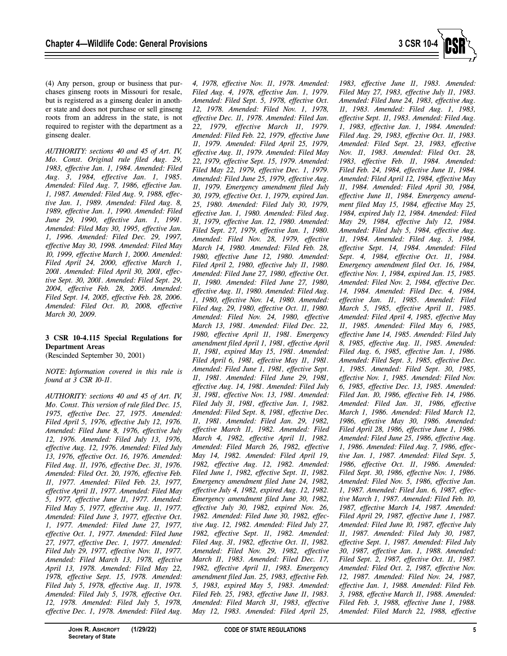

(4) Any person, group or business that purchases ginseng roots in Missouri for resale, but is registered as a ginseng dealer in another state and does not purchase or sell ginseng roots from an address in the state, is not required to register with the department as a ginseng dealer.

*AUTHORITY: sections 40 and 45 of Art. IV, Mo. Const. Original rule filed Aug. 29, 1983, effective Jan. 1, 1984. Amended: Filed Aug. 3, 1984, effective Jan. 1, 1985. Amended: Filed Aug. 7, 1986, effective Jan. 1, 1987. Amended: Filed Aug. 9, 1988, effective Jan. 1, 1989. Amended: Filed Aug. 8, 1989, effective Jan. 1, 1990. Amended: Filed June 29, 1990, effective Jan. 1, 1991. Amended: Filed May 30, 1995, effective Jan. 1, 1996. Amended: Filed Dec. 29, 1997, effective May 30, 1998. Amended: Filed May 10, 1999, effective March 1, 2000. Amended: Filed April 24, 2000, effective March 1, 2001. Amended: Filed April 30, 2001, effective Sept. 30, 2001. Amended: Filed Sept. 29, 2004, effective Feb. 28, 2005. Amended: Filed Sept. 14, 2005, effective Feb. 28, 2006. Amended: Filed Oct. 10, 2008, effective March 30, 2009.* 

# **3 CSR 10-4.115 Special Regulations for Department Areas**

(Rescinded September 30, 2001)

# *NOTE: Information covered in this rule is found at 3 CSR 10-11.*

*AUTHORITY: sections 40 and 45 of Art. IV, Mo. Const. This version of rule filed Dec. 15, 1975, effective Dec. 27, 1975. Amended: Filed April 5, 1976, effective July 12, 1976. Amended: Filed June 8, 1976, effective July 12, 1976. Amended: Filed July 13, 1976, effective Aug. 12, 1976. Amended: Filed July 13, 1976, effective Oct. 16, 1976. Amended: Filed Aug. 11, 1976, effective Dec. 31, 1976. Amended: Filed Oct. 20, 1976, effective Feb. 11, 1977. Amended: Filed Feb. 23, 1977, effective April 11, 1977. Amended: Filed May 5, 1977, effective June 11, 1977. Amended: Filed May 5, 1977, effective Aug. 11, 1977. Amended: Filed June 3, 1977, effective Oct. 1, 1977. Amended: Filed June 27, 1977, effective Oct. 1, 1977. Amended: Filed June 27, 1977, effective Dec. 1, 1977. Amended: Filed July 29, 1977, effective Nov. 11, 1977. Amended: Filed March 13, 1978, effective April 13, 1978. Amended: Filed May 22, 1978, effective Sept. 15, 1978. Amended: Filed July 5, 1978, effective Aug. 11, 1978. Amended: Filed July 5, 1978, effective Oct. 12, 1978. Amended: Filed July 5, 1978, effective Dec. 1, 1978. Amended: Filed Aug.* 

*4, 1978, effective Nov. 11, 1978. Amended: Filed Aug. 4, 1978, effective Jan. 1, 1979. Amended: Filed Sept. 5, 1978, effective Oct. 12, 1978. Amended: Filed Nov. 1, 1978, effective Dec. 11, 1978. Amended: Filed Jan. 22, 1979, effective March 11, 1979. Amended: Filed Feb. 22, 1979, effective June 11, 1979. Amended: Filed April 25, 1979, effective Aug. 11, 1979. Amended: Filed May 22, 1979, effective Sept. 15, 1979. Amended: Filed May 22, 1979, effective Dec. 1, 1979. Amended: Filed June 25, 1979, effective Aug. 11, 1979. Emergency amendment filed July 30, 1979, effective Oct. 1, 1979, expired Jan. 25, 1980. Amended: Filed July 30, 1979, effective Jan. 1, 1980. Amended: Filed Aug. 31, 1979, effective Jan. 12, 1980. Amended: Filed Sept. 27, 1979, effective Jan. 1, 1980. Amended: Filed Nov. 28, 1979, effective March 14, 1980. Amended: Filed Feb. 28, 1980, effective June 12, 1980. Amended: Filed April 2, 1980, effective July 11, 1980. Amended: Filed June 27, 1980, effective Oct. 11, 1980. Amended: Filed June 27, 1980, effective Aug. 11, 1980. Amended: Filed Aug. 1, 1980, effective Nov. 14, 1980. Amended: Filed Aug. 29, 1980, effective Oct. 11, 1980. Amended: Filed Nov. 24, 1980, effective March 13, 1981. Amended: Filed Dec. 22, 1980, effective April 11, 1981. Emergency amendment filed April 1, 1981, effective April 11, 1981, expired May 15, 1981. Amended: Filed April 6, 1981, effective May 11, 1981. Amended: Filed June 1, 1981, effective Sept. 11, 1981. Amended: Filed June 29, 1981, effective Aug. 14, 1981. Amended: Filed July 31, 1981, effective Nov. 13, 1981. Amended: Filed July 31, 1981, effective Jan. 1, 1982. Amended: Filed Sept. 8, 1981, effective Dec. 11, 1981. Amended: Filed Jan. 29, 1982, effective March 11, 1982. Amended: Filed March 4, 1982, effective April 11, 1982. Amended: Filed March 26, 1982, effective May 14, 1982. Amended: Filed April 19, 1982, effective Aug. 12, 1982. Amended: Filed June 1, 1982, effective Sept. 11, 1982. Emergency amendment filed June 24, 1982, effective July 4, 1982, expired Aug. 12, 1982. Emergency amendment filed June 30, 1982, effective July 30, 1982, expired Nov. 26, 1982. Amended: Filed June 30, 1982, effective Aug. 12, 1982. Amended: Filed July 27, 1982, effective Sept. 11, 1982. Amended: Filed Aug. 31, 1982, effective Oct. 11, 1982. Amended: Filed Nov. 29, 1982, effective March 11, 1983. Amended: Filed Dec. 17, 1982, effective April 11, 1983. Emergency amendment filed Jan. 25, 1983, effective Feb. 5, 1983, expired May 5, 1983. Amended: Filed Feb. 25, 1983, effective June 11, 1983. Amended: Filed March 31, 1983, effective May 12, 1983. Amended: Filed April 25,* 

*1983, effective June 11, 1983. Amended: Filed May 27, 1983, effective July 11, 1983. Amended: Filed June 24, 1983, effective Aug. 11, 1983. Amended: Filed Aug. 1, 1983, effective Sept. 11, 1983. Amended: Filed Aug. 1, 1983, effective Jan. 1, 1984. Amended: Filed Aug. 29, 1983, effective Oct. 11, 1983. Amended: Filed Sept. 23, 1983, effective Nov. 11, 1983. Amended: Filed Oct. 28, 1983, effective Feb. 11, 1984. Amended: Filed Feb. 24, 1984, effective June 11, 1984. Amended: Filed April 12, 1984, effective May 11, 1984. Amended: Filed April 30, 1984, effective June 11, 1984. Emergency amendment filed May 15, 1984, effective May 25, 1984, expired July 12, 1984. Amended: Filed May 29, 1984, effective July 12, 1984. Amended: Filed July 5, 1984, effective Aug. 11, 1984. Amended: Filed Aug. 3, 1984, effective Sept. 14, 1984. Amended: Filed Sept. 4, 1984, effective Oct. 11, 1984. Emergency amendment filed Oct. 16, 1984, effective Nov. 1, 1984, expired Jan. 15, 1985. Amended: Filed Nov. 2, 1984, effective Dec. 14, 1984. Amended: Filed Dec. 4, 1984, effective Jan. 11, 1985. Amended: Filed March 5, 1985, effective April 11, 1985. Amended: Filed April 4, 1985, effective May 11, 1985. Amended: Filed May 6, 1985, effective June 14, 1985. Amended: Filed July 8, 1985, effective Aug. 11, 1985. Amended: Filed Aug. 6, 1985, effective Jan. 1, 1986. Amended: Filed Sept. 3, 1985, effective Dec. 1, 1985. Amended: Filed Sept. 30, 1985, effective Nov. 1, 1985. Amended: Filed Nov. 6, 1985, effective Dec. 13, 1985. Amended: Filed Jan. 10, 1986, effective Feb. 14, 1986. Amended: Filed Jan. 31, 1986, effective March 1, 1986. Amended: Filed March 12, 1986, effective May 30, 1986. Amended: Filed April 28, 1986, effective June 1, 1986. Amended: Filed June 25, 1986, effective Aug. 1, 1986. Amended: Filed Aug. 7, 1986, effective Jan. 1, 1987. Amended: Filed Sept. 5, 1986, effective Oct. 11, 1986. Amended: Filed Sept. 30, 1986, effective Nov. 1, 1986. Amended: Filed Nov. 5, 1986, effective Jan. 1, 1987. Amended: Filed Jan. 6, 1987, effective March 1, 1987. Amended: Filed Feb. 10, 1987, effective March 14, 1987. Amended: Filed April 29, 1987, effective June 1, 1987. Amended: Filed June 10, 1987, effective July 11, 1987. Amended: Filed July 30, 1987, effective Sept. 1, 1987. Amended: Filed July 30, 1987, effective Jan. 1, 1988. Amended: Filed Sept. 2, 1987, effective Oct. 11, 1987. Amended: Filed Oct. 2, 1987, effective Nov. 12, 1987. Amended: Filed Nov. 24, 1987, effective Jan. 1, 1988. Amended: Filed Feb. 3, 1988, effective March 11, 1988. Amended: Filed Feb. 3, 1988, effective June 1, 1988. Amended: Filed March 22, 1988, effective*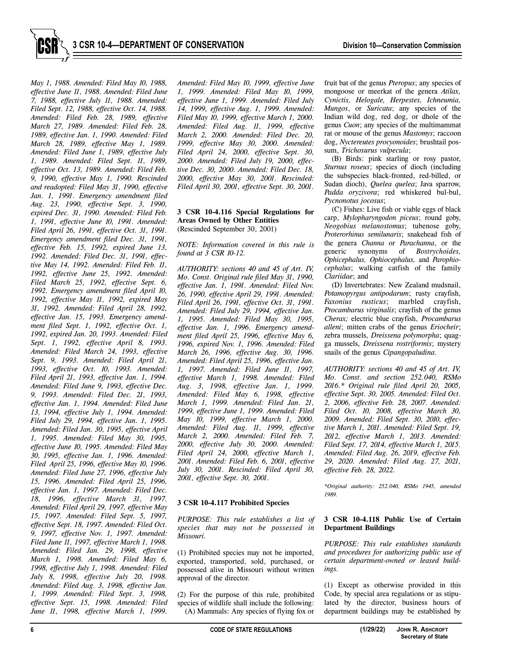

*May 1, 1988. Amended: Filed May 10, 1988, effective June 11, 1988. Amended: Filed June 7, 1988, effective July 11, 1988. Amended: Filed Sept. 12, 1988, effective Oct. 14, 1988. Amended: Filed Feb. 28, 1989, effective March 27, 1989. Amended: Filed Feb. 28, 1989, effective Jan. 1, 1990. Amended: Filed March 28, 1989, effective May 1, 1989. Amended: Filed June 1, 1989, effective July 1, 1989. Amended: Filed Sept. 11, 1989, effective Oct. 13, 1989. Amended: Filed Feb. 9, 1990, effective May 1, 1990. Rescinded and readopted: Filed May 31, 1990, effective Jan. 1, 1991. Emergency amendment filed Aug. 23, 1990, effective Sept. 3, 1990, expired Dec. 31, 1990. Amended: Filed Feb. 1, 1991, effective June 10, 1991. Amended: Filed April 26, 1991, effective Oct. 31, 1991. Emergency amendment filed Dec. 31, 1991,*  effective Feb. 15, 1992, expired June 13, *1992. Amended: Filed Dec. 31, 1991, effective May 14, 1992. Amended: Filed Feb. 11, 1992, effective June 25, 1992. Amended: Filed March 25, 1992, effective Sept. 6, 1992. Emergency amendment filed April 10, 1992, effective May 11, 1992, expired May 31, 1992. Amended: Filed April 28, 1992, effective Jan. 15, 1993. Emergency amendment filed Sept. 1, 1992, effective Oct. 1, 1992, expired Jan. 20, 1993. Amended: Filed Sept. 1, 1992, effective April 8, 1993. Amended: Filed March 24, 1993, effective Sept. 9, 1993. Amended: Filed April 21, 1993, effective Oct. 10, 1993. Amended: Filed April 21, 1993, effective Jan. 1, 1994. Amended: Filed June 9, 1993, effective Dec. 9, 1993. Amended: Filed Dec. 21, 1993, effective Jan. 1, 1994. Amended: Filed June 13, 1994, effective July 1, 1994. Amended: Filed July 29, 1994, effective Jan. 1, 1995. Amended: Filed Jan. 30, 1995, effective April 1, 1995. Amended: Filed May 30, 1995, effective June 10, 1995. Amended: Filed May 30, 1995, effective Jan. 1, 1996. Amended: Filed April 25, 1996, effective May 10, 1996. Amended: Filed June 27, 1996, effective July 15, 1996. Amended: Filed April 25, 1996, effective Jan. 1, 1997. Amended: Filed Dec. 18, 1996, effective March 31, 1997. Amended: Filed April 29, 1997, effective May 15, 1997. Amended: Filed Sept. 5, 1997, effective Sept. 18, 1997. Amended: Filed Oct. 9, 1997, effective Nov. 1, 1997. Amended: Filed June 11, 1997, effective March 1, 1998. Amended: Filed Jan. 29, 1998, effective March 1, 1998. Amended: Filed May 6, 1998, effective July 1, 1998. Amended: Filed July 8, 1998, effective July 20, 1998. Amended: Filed Aug. 3, 1998, effective Jan. 1, 1999. Amended: Filed Sept. 3, 1998, effective Sept. 15, 1998. Amended: Filed June 11, 1998, effective March 1, 1999.* 

*Amended: Filed May 10, 1999, effective June 1, 1999. Amended: Filed May 10, 1999, effective June 1, 1999. Amended: Filed July 14, 1999, effective Aug. 1, 1999. Amended: Filed May 10, 1999, effective March 1, 2000. Amended: Filed Aug. 11, 1999, effective March 2, 2000. Amended: Filed Dec. 20, 1999, effective May 30, 2000. Amended: Filed April 24, 2000, effective Sept. 30, 2000. Amended: Filed July 19, 2000, effective Dec. 30, 2000. Amended: Filed Dec. 18, 2000, effective May 30, 2001. Rescinded: Filed April 30, 2001, effective Sept. 30, 2001.* 

#### **3 CSR 10-4.116 Special Regulations for Areas Owned by Other Entities**  (Rescinded September 30, 2001)

*NOTE: Information covered in this rule is found at 3 CSR 10-12.* 

*AUTHORITY: sections 40 and 45 of Art. IV, Mo. Const. Original rule filed May 31, 1990, effective Jan. 1, 1991. Amended: Filed Nov. 26, 1990, effective April 29, 1991. Amended: Filed April 26, 1991, effective Oct. 31, 1991. Amended: Filed July 29, 1994, effective Jan. 1, 1995. Amended: Filed May 30, 1995, effective Jan. 1, 1996. Emergency amendment filed April 25, 1996, effective May 6, 1996, expired Nov. 1, 1996. Amended: Filed March 26, 1996, effective Aug. 30, 1996. Amended: Filed April 25, 1996, effective Jan. 1, 1997. Amended: Filed June 11, 1997, effective March 1, 1998. Amended: Filed Aug. 3, 1998, effective Jan. 1, 1999. Amended: Filed May 6, 1998, effective March 1, 1999. Amended: Filed Jan. 21, 1999, effective June 1, 1999. Amended: Filed May 10, 1999, effective March 1, 2000. Amended: Filed Aug. 11, 1999, effective March 2, 2000. Amended: Filed Feb. 7, 2000, effective July 30, 2000. Amended: Filed April 24, 2000, effective March 1, 2001. Amended: Filed Feb. 6, 2001, effective July 30, 2001. Rescinded: Filed April 30, 2001, effective Sept. 30, 2001.* 

# **3 CSR 10-4.117 Prohibited Species**

*PURPOSE: This rule establishes a list of species that may not be possessed in Missouri.* 

(1) Prohibited species may not be imported, exported, transported, sold, purchased, or possessed alive in Missouri without written approval of the director.

(2) For the purpose of this rule, prohibited species of wildlife shall include the following: (A) Mammals: Any species of flying fox or

fruit bat of the genus *Pteropus*; any species of mongoose or meerkat of the genera *Atilax, Cynictis, Helogale, Herpestes, Ichneumia, Mungos*, or *Suricata*; any species of the Indian wild dog, red dog, or dhole of the genus *Cuon*; any species of the multimammat rat or mouse of the genus *Mastomys*; raccoon dog, *Nyctereutes procyonoides*; brushtail possum, *Trichosurus vulpecula*;

(B) Birds: pink starling or rosy pastor, *Sturnus roseus*; species of dioch (including the subspecies black-fronted, red-billed, or Sudan dioch), *Quelea quelea*; Java sparrow, *Padda oryzivora*; red whiskered bul-bul, *Pycnonotus jocosus*;

(C) Fishes: Live fish or viable eggs of black carp, *Mylopharyngodon piceus*; round goby, *Neogobius melanostomus*; tubenose goby, *Proterorhinus semilunaris*; snakehead fish of the genera *Channa* or *Parachanna*, or the generic synonyms of *Bostrychoides, Ophicephalus, Ophiocephalus,* and *Parophiocephalus*; walking catfish of the family *Clariidae*; and

(D) Invertebrates: New Zealand mudsnail, *Potamopyrgus antipodarum*; rusty crayfish, *Faxonius rusticus*; marbled crayfish, *Procambarus virginalis*; crayfish of the genus *Cherax;* electric blue crayfish, *Procambarus alleni*; mitten crabs of the genus *Eriocheir*; zebra mussels, *Dreissena polymorpha*; quagga mussels, *Dreissena rostriformis*; mystery snails of the genus *Cipangopaludina*.

*AUTHORITY: sections 40 and 45 of Art. IV, Mo. Const. and section 252.040, RSMo 2016.\* Original rule filed April 20, 2005, effective Sept. 30, 2005. Amended: Filed Oct. 2, 2006, effective Feb. 28, 2007. Amended: Filed Oct. 10, 2008, effective March 30, 2009. Amended: Filed Sept. 30, 2010, effective March 1, 2011. Amended: Filed Sept. 19, 2012, effective March 1, 2013. Amended: Filed Sept. 17, 2014, effective March 1, 2015. Amended: Filed Aug. 26, 2019, effective Feb. 29, 2020. Amended: Filed Aug. 27, 2021, effective Feb. 28, 2022.* 

*\*Original authority: 252.040, RSMo 1945, amended 1989.* 

## **3 CSR 10-4.118 Public Use of Certain Department Buildings**

*PURPOSE: This rule establishes standards and procedures for authorizing public use of certain department-owned or leased buildings.* 

(1) Except as otherwise provided in this Code, by special area regulations or as stipulated by the director, business hours of department buildings may be established by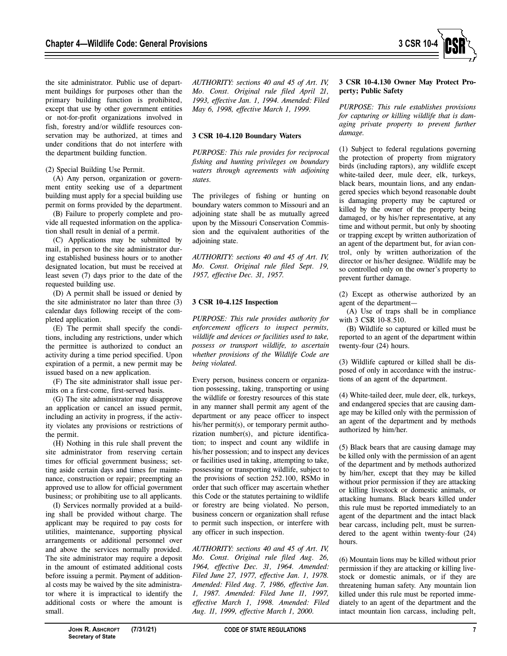the site administrator. Public use of department buildings for purposes other than the primary building function is prohibited, except that use by other government entities or not-for-profit organizations involved in fish, forestry and/or wildlife resources conservation may be authorized, at times and under conditions that do not interfere with the department building function.

(2) Special Building Use Permit.

(A) Any person, organization or government entity seeking use of a department building must apply for a special building use permit on forms provided by the department.

(B) Failure to properly complete and provide all requested information on the application shall result in denial of a permit.

(C) Applications may be submitted by mail, in person to the site administrator during established business hours or to another designated location, but must be received at least seven (7) days prior to the date of the requested building use.

(D) A permit shall be issued or denied by the site administrator no later than three (3) calendar days following receipt of the completed application.

(E) The permit shall specify the conditions, including any restrictions, under which the permittee is authorized to conduct an activity during a time period specified. Upon expiration of a permit, a new permit may be issued based on a new application.

(F) The site administrator shall issue permits on a first-come, first-served basis.

(G) The site administrator may disapprove an application or cancel an issued permit, including an activity in progress, if the activity violates any provisions or restrictions of the permit.

(H) Nothing in this rule shall prevent the site administrator from reserving certain times for official government business; setting aside certain days and times for maintenance, construction or repair; preempting an approved use to allow for official government business; or prohibiting use to all applicants.

(I) Services normally provided at a building shall be provided without charge. The applicant may be required to pay costs for utilities, maintenance, supporting physical arrangements or additional personnel over and above the services normally provided. The site administrator may require a deposit in the amount of estimated additional costs before issuing a permit. Payment of additional costs may be waived by the site administrator where it is impractical to identify the additional costs or where the amount is small.

*AUTHORITY: sections 40 and 45 of Art. IV, Mo. Const. Original rule filed April 21, 1993, effective Jan. 1, 1994. Amended: Filed May 6, 1998, effective March 1, 1999.* 

# **3 CSR 10-4.120 Boundary Waters**

*PURPOSE: This rule provides for reciprocal fishing and hunting privileges on boundary waters through agreements with adjoining states.* 

The privileges of fishing or hunting on boundary waters common to Missouri and an adjoining state shall be as mutually agreed upon by the Missouri Conservation Commission and the equivalent authorities of the adjoining state.

*AUTHORITY: sections 40 and 45 of Art. IV, Mo. Const. Original rule filed Sept. 19, 1957, effective Dec. 31, 1957.* 

# **3 CSR 10-4.125 Inspection**

*PURPOSE: This rule provides authority for enforcement officers to inspect permits, wildlife and devices or facilities used to take, possess or transport wildlife, to ascertain whether provisions of the Wildlife Code are being violated.* 

Every person, business concern or organization possessing, taking, transporting or using the wildlife or forestry resources of this state in any manner shall permit any agent of the department or any peace officer to inspect his/her permit(s), or temporary permit authorization number(s), and picture identification; to inspect and count any wildlife in his/her possession; and to inspect any devices or facilities used in taking, attempting to take, possessing or transporting wildlife, subject to the provisions of section 252.100, RSMo in order that such officer may ascertain whether this Code or the statutes pertaining to wildlife or forestry are being violated. No person, business concern or organization shall refuse to permit such inspection, or interfere with any officer in such inspection.

*AUTHORITY: sections 40 and 45 of Art. IV, Mo. Const. Original rule filed Aug. 26, 1964, effective Dec. 31, 1964. Amended: Filed June 27, 1977, effective Jan. 1, 1978. Amended: Filed Aug. 7, 1986, effective Jan. 1, 1987. Amended: Filed June 11, 1997, effective March 1, 1998. Amended: Filed Aug. 11, 1999, effective March 1, 2000.*

# **3 CSR 10-4.130 Owner May Protect Property; Public Safety**

*PURPOSE: This rule establishes provisions for capturing or killing wildlife that is damaging private property to prevent further damage.* 

(1) Subject to federal regulations governing the protection of property from migratory birds (including raptors), any wildlife except white-tailed deer, mule deer, elk, turkeys, black bears, mountain lions, and any endangered species which beyond reasonable doubt is damaging property may be captured or killed by the owner of the property being damaged, or by his/her representative, at any time and without permit, but only by shooting or trapping except by written authorization of an agent of the department but, for avian control, only by written authorization of the director or his/her designee. Wildlife may be so controlled only on the owner's property to prevent further damage.

(2) Except as otherwise authorized by an agent of the department—

(A) Use of traps shall be in compliance with 3 CSR 10-8.510.

(B) Wildlife so captured or killed must be reported to an agent of the department within twenty-four (24) hours.

(3) Wildlife captured or killed shall be disposed of only in accordance with the instructions of an agent of the department.

(4) White-tailed deer, mule deer, elk, turkeys, and endangered species that are causing damage may be killed only with the permission of an agent of the department and by methods authorized by him/her.

(5) Black bears that are causing damage may be killed only with the permission of an agent of the department and by methods authorized by him/her, except that they may be killed without prior permission if they are attacking or killing livestock or domestic animals, or attacking humans. Black bears killed under this rule must be reported immediately to an agent of the department and the intact black bear carcass, including pelt, must be surrendered to the agent within twenty-four (24) hours.

(6) Mountain lions may be killed without prior permission if they are attacking or killing livestock or domestic animals, or if they are threatening human safety. Any mountain lion killed under this rule must be reported immediately to an agent of the department and the intact mountain lion carcass, including pelt,

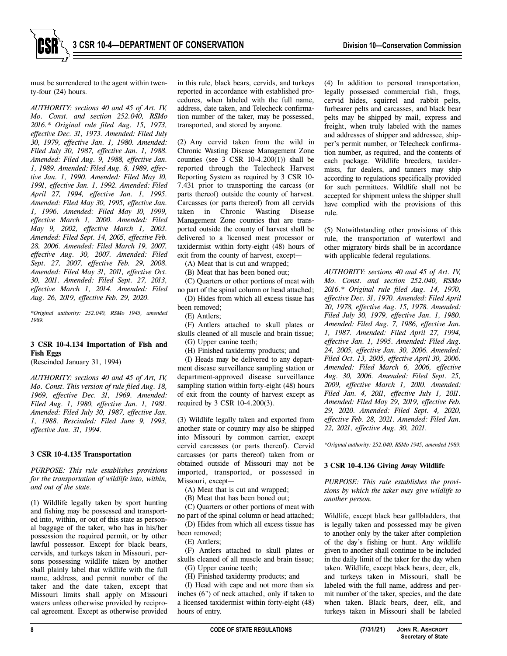must be surrendered to the agent within twenty-four (24) hours.

*AUTHORITY: sections 40 and 45 of Art. IV, Mo. Const. and section 252.040, RSMo 2016.\* Original rule filed Aug. 15, 1973, effective Dec. 31, 1973. Amended: Filed July 30, 1979, effective Jan. 1, 1980. Amended: Filed July 30, 1987, effective Jan. 1, 1988. Amended: Filed Aug. 9, 1988, effective Jan. 1, 1989. Amended: Filed Aug. 8, 1989, effective Jan. 1, 1990. Amended: Filed May 10, 1991, effective Jan. 1, 1992. Amended: Filed April 27, 1994, effective Jan. 1, 1995. Amended: Filed May 30, 1995, effective Jan. 1, 1996. Amended: Filed May 10, 1999, effective March 1, 2000. Amended: Filed May 9, 2002, effective March 1, 2003. Amended: Filed Sept. 14, 2005, effective Feb. 28, 2006. Amended: Filed March 19, 2007, effective Aug. 30, 2007. Amended: Filed Sept. 27, 2007, effective Feb. 29, 2008. Amended: Filed May 31, 2011, effective Oct. 30, 2011. Amended: Filed Sept. 27, 2013, effective March 1, 2014. Amended: Filed Aug. 26, 2019, effective Feb. 29, 2020.* 

*\*Original authority: 252.040, RSMo 1945, amended 1989.* 

## **3 CSR 10-4.134 Importation of Fish and Fish Eggs**

(Rescinded January 31, 1994)

*AUTHORITY: sections 40 and 45 of Art, IV, Mo. Const. This version of rule filed Aug. 18, 1969, effective Dec. 31, 1969. Amended: Filed Aug. 1, 1980, effective Jan. 1, 1981. Amended: Filed July 30, 1987, effective Jan. 1, 1988. Rescinded: Filed June 9, 1993, effective Jan. 31, 1994.* 

#### **3 CSR 10-4.135 Transportation**

*PURPOSE: This rule establishes provisions for the transportation of wildlife into, within, and out of the state.* 

(1) Wildlife legally taken by sport hunting and fishing may be possessed and transported into, within, or out of this state as personal baggage of the taker, who has in his/her possession the required permit, or by other lawful possessor. Except for black bears, cervids, and turkeys taken in Missouri, persons possessing wildlife taken by another shall plainly label that wildlife with the full name, address, and permit number of the taker and the date taken, except that Missouri limits shall apply on Missouri waters unless otherwise provided by reciprocal agreement. Except as otherwise provided

in this rule, black bears, cervids, and turkeys reported in accordance with established procedures, when labeled with the full name, address, date taken, and Telecheck confirmation number of the taker, may be possessed, transported, and stored by anyone.

(2) Any cervid taken from the wild in Chronic Wasting Disease Management Zone counties (see 3 CSR  $10-4.200(1)$ ) shall be reported through the Telecheck Harvest Reporting System as required by 3 CSR 10- 7.431 prior to transporting the carcass (or parts thereof) outside the county of harvest. Carcasses (or parts thereof) from all cervids taken in Chronic Wasting Disease Management Zone counties that are transported outside the county of harvest shall be delivered to a licensed meat processor or taxidermist within forty-eight (48) hours of exit from the county of harvest, except—

(A) Meat that is cut and wrapped;

(B) Meat that has been boned out;

(C) Quarters or other portions of meat with no part of the spinal column or head attached;

(D) Hides from which all excess tissue has been removed;

(E) Antlers;

(F) Antlers attached to skull plates or skulls cleaned of all muscle and brain tissue;

(G) Upper canine teeth;

(H) Finished taxidermy products; and

(I) Heads may be delivered to any department disease surveillance sampling station or department-approved disease surveillance sampling station within forty-eight (48) hours of exit from the county of harvest except as required by 3 CSR 10-4.200(3).

(3) Wildlife legally taken and exported from another state or country may also be shipped into Missouri by common carrier, except cervid carcasses (or parts thereof). Cervid carcasses (or parts thereof) taken from or obtained outside of Missouri may not be imported, transported, or possessed in Missouri, except—

(A) Meat that is cut and wrapped;

(B) Meat that has been boned out;

(C) Quarters or other portions of meat with no part of the spinal column or head attached;

(D) Hides from which all excess tissue has been removed;

(E) Antlers;

(F) Antlers attached to skull plates or skulls cleaned of all muscle and brain tissue; (G) Upper canine teeth;

(H) Finished taxidermy products; and

(I) Head with cape and not more than six inches (6") of neck attached, only if taken to a licensed taxidermist within forty-eight (48) hours of entry.

(4) In addition to personal transportation, legally possessed commercial fish, frogs, cervid hides, squirrel and rabbit pelts, furbearer pelts and carcasses, and black bear pelts may be shipped by mail, express and freight, when truly labeled with the names and addresses of shipper and addressee, shipper's permit number, or Telecheck confirmation number, as required, and the contents of each package. Wildlife breeders, taxidermists, fur dealers, and tanners may ship according to regulations specifically provided for such permittees. Wildlife shall not be accepted for shipment unless the shipper shall have complied with the provisions of this rule.

(5) Notwithstanding other provisions of this rule, the transportation of waterfowl and other migratory birds shall be in accordance with applicable federal regulations.

*AUTHORITY: sections 40 and 45 of Art. IV, Mo. Const. and section 252.040, RSMo 2016.\* Original rule filed Aug. 14, 1970, effective Dec. 31, 1970. Amended: Filed April 20, 1978, effective Aug. 15, 1978. Amended: Filed July 30, 1979, effective Jan. 1, 1980. Amended: Filed Aug. 7, 1986, effective Jan. 1, 1987. Amended: Filed April 27, 1994, effective Jan. 1, 1995. Amended: Filed Aug. 24, 2005, effective Jan. 30, 2006. Amended: Filed Oct. 13, 2005, effective April 30, 2006. Amended: Filed March 6, 2006, effective Aug. 30, 2006. Amended: Filed Sept. 25, 2009, effective March 1, 2010. Amended: Filed Jan. 4, 2011, effective July 1, 2011. Amended: Filed May 29, 2019, effective Feb. 29, 2020. Amended: Filed Sept. 4, 2020, effective Feb. 28, 2021. Amended: Filed Jan. 22, 2021, effective Aug. 30, 2021.* 

*\*Original authority: 252.040, RSMo 1945, amended 1989.* 

# **3 CSR 10-4.136 Giving Away Wildlife**

*PURPOSE: This rule establishes the provisions by which the taker may give wildlife to another person.* 

Wildlife, except black bear gallbladders, that is legally taken and possessed may be given to another only by the taker after completion of the day's fishing or hunt. Any wildlife given to another shall continue to be included in the daily limit of the taker for the day when taken. Wildlife, except black bears, deer, elk, and turkeys taken in Missouri, shall be labeled with the full name, address and permit number of the taker, species, and the date when taken. Black bears, deer, elk, and turkeys taken in Missouri shall be labeled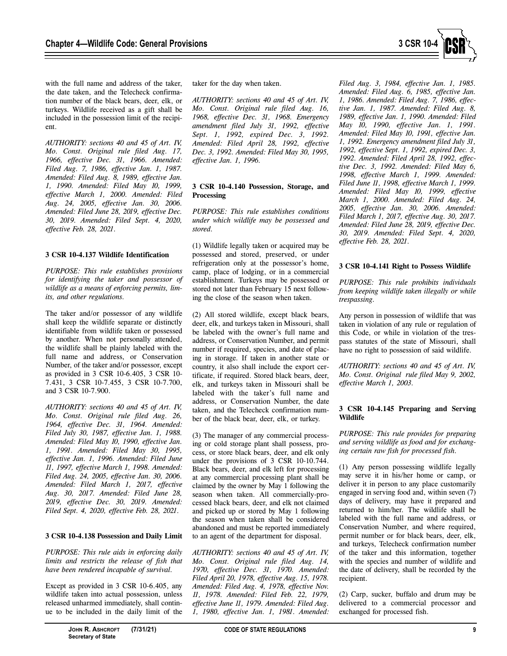

with the full name and address of the taker, the date taken, and the Telecheck confirmation number of the black bears, deer, elk, or turkeys. Wildlife received as a gift shall be included in the possession limit of the recipient.

*AUTHORITY: sections 40 and 45 of Art. IV, Mo. Const. Original rule filed Aug. 17, 1966, effective Dec. 31, 1966. Amended: Filed Aug. 7, 1986, effective Jan. 1, 1987. Amended: Filed Aug. 8, 1989, effective Jan. 1, 1990. Amended: Filed May 10, 1999, effective March 1, 2000. Amended: Filed Aug. 24, 2005, effective Jan. 30, 2006. Amended: Filed June 28, 2019, effective Dec. 30, 2019. Amended: Filed Sept. 4, 2020, effective Feb. 28, 2021.* 

# **3 CSR 10-4.137 Wildlife Identification**

*PURPOSE: This rule establishes provisions for identifying the taker and possessor of wildlife as a means of enforcing permits, limits, and other regulations.* 

The taker and/or possessor of any wildlife shall keep the wildlife separate or distinctly identifiable from wildlife taken or possessed by another. When not personally attended, the wildlife shall be plainly labeled with the full name and address, or Conservation Number, of the taker and/or possessor, except as provided in 3 CSR 10-6.405, 3 CSR 10- 7.431, 3 CSR 10-7.455, 3 CSR 10-7.700, and 3 CSR 10-7.900.

*AUTHORITY: sections 40 and 45 of Art. IV, Mo. Const. Original rule filed Aug. 26, 1964, effective Dec. 31, 1964. Amended: Filed July 30, 1987, effective Jan. 1, 1988. Amended: Filed May 10, 1990, effective Jan. 1, 1991. Amended: Filed May 30, 1995, effective Jan. 1, 1996. Amended: Filed June 11, 1997, effective March 1, 1998. Amended: Filed Aug. 24, 2005, effective Jan. 30, 2006. Amended: Filed March 1, 2017, effective Aug. 30, 2017. Amended: Filed June 28, 2019, effective Dec. 30, 2019. Amended: Filed Sept. 4, 2020, effective Feb. 28, 2021.* 

# **3 CSR 10-4.138 Possession and Daily Limit**

*PURPOSE: This rule aids in enforcing daily limits and restricts the release of fish that have been rendered incapable of survival.* 

Except as provided in 3 CSR 10-6.405, any wildlife taken into actual possession, unless released unharmed immediately, shall continue to be included in the daily limit of the taker for the day when taken.

*AUTHORITY: sections 40 and 45 of Art. IV, Mo. Const. Original rule filed Aug. 16, 1968, effective Dec. 31, 1968. Emergency amendment filed July 31, 1992, effective Sept. 1, 1992, expired Dec. 3, 1992. Amended: Filed April 28, 1992, effective Dec. 3, 1992. Amended: Filed May 30, 1995, effective Jan. 1, 1996.* 

## **3 CSR 10-4.140 Possession, Storage, and Processing**

*PURPOSE: This rule establishes conditions under which wildlife may be possessed and stored.* 

(1) Wildlife legally taken or acquired may be possessed and stored, preserved, or under refrigeration only at the possessor's home, camp, place of lodging, or in a commercial establishment. Turkeys may be possessed or stored not later than February 15 next following the close of the season when taken.

(2) All stored wildlife, except black bears, deer, elk, and turkeys taken in Missouri, shall be labeled with the owner's full name and address, or Conservation Number, and permit number if required, species, and date of placing in storage. If taken in another state or country, it also shall include the export certificate, if required. Stored black bears, deer, elk, and turkeys taken in Missouri shall be labeled with the taker's full name and address, or Conservation Number, the date taken, and the Telecheck confirmation number of the black bear, deer, elk, or turkey.

(3) The manager of any commercial processing or cold storage plant shall possess, process, or store black bears, deer, and elk only under the provisions of 3 CSR 10-10.744. Black bears, deer, and elk left for processing at any commercial processing plant shall be claimed by the owner by May 1 following the season when taken. All commercially-processed black bears, deer, and elk not claimed and picked up or stored by May 1 following the season when taken shall be considered abandoned and must be reported immediately to an agent of the department for disposal.

*AUTHORITY: sections 40 and 45 of Art. IV, Mo. Const. Original rule filed Aug. 14, 1970, effective Dec. 31, 1970. Amended: Filed April 20, 1978, effective Aug. 15, 1978. Amended: Filed Aug. 4, 1978, effective Nov. 11, 1978. Amended: Filed Feb. 22, 1979, effective June 11, 1979. Amended: Filed Aug. 1, 1980, effective Jan. 1, 1981. Amended:*  *Filed Aug. 3, 1984, effective Jan. 1, 1985. Amended: Filed Aug. 6, 1985, effective Jan. 1, 1986. Amended: Filed Aug. 7, 1986, effective Jan. 1, 1987. Amended: Filed Aug. 8, 1989, effective Jan. 1, 1990. Amended: Filed May 10, 1990, effective Jan. 1, 1991. Amended: Filed May 10, 1991, effective Jan. 1, 1992. Emergency amendment filed July 31, 1992, effective Sept. 1, 1992, expired Dec. 3, 1992. Amended: Filed April 28, 1992, effective Dec. 3, 1992. Amended: Filed May 6, 1998, effective March 1, 1999. Amended: Filed June 11, 1998, effective March 1, 1999. Amended: Filed May 10, 1999, effective March 1, 2000. Amended: Filed Aug. 24, 2005, effective Jan. 30, 2006. Amended: Filed March 1, 2017, effective Aug. 30, 2017. Amended: Filed June 28, 2019, effective Dec. 30, 2019. Amended: Filed Sept. 4, 2020, effective Feb. 28, 2021.* 

# **3 CSR 10-4.141 Right to Possess Wildlife**

*PURPOSE: This rule prohibits individuals from keeping wildlife taken illegally or while trespassing.* 

Any person in possession of wildlife that was taken in violation of any rule or regulation of this Code, or while in violation of the trespass statutes of the state of Missouri, shall have no right to possession of said wildlife.

*AUTHORITY: sections 40 and 45 of Art. IV, Mo. Const. Original rule filed May 9, 2002, effective March 1, 2003.* 

## **3 CSR 10-4.145 Preparing and Serving Wildlife**

*PURPOSE: This rule provides for preparing and serving wildlife as food and for exchanging certain raw fish for processed fish.* 

(1) Any person possessing wildlife legally may serve it in his/her home or camp, or deliver it in person to any place customarily engaged in serving food and, within seven (7) days of delivery, may have it prepared and returned to him/her. The wildlife shall be labeled with the full name and address, or Conservation Number, and where required, permit number or for black bears, deer, elk, and turkeys, Telecheck confirmation number of the taker and this information, together with the species and number of wildlife and the date of delivery, shall be recorded by the recipient.

(2) Carp, sucker, buffalo and drum may be delivered to a commercial processor and exchanged for processed fish.